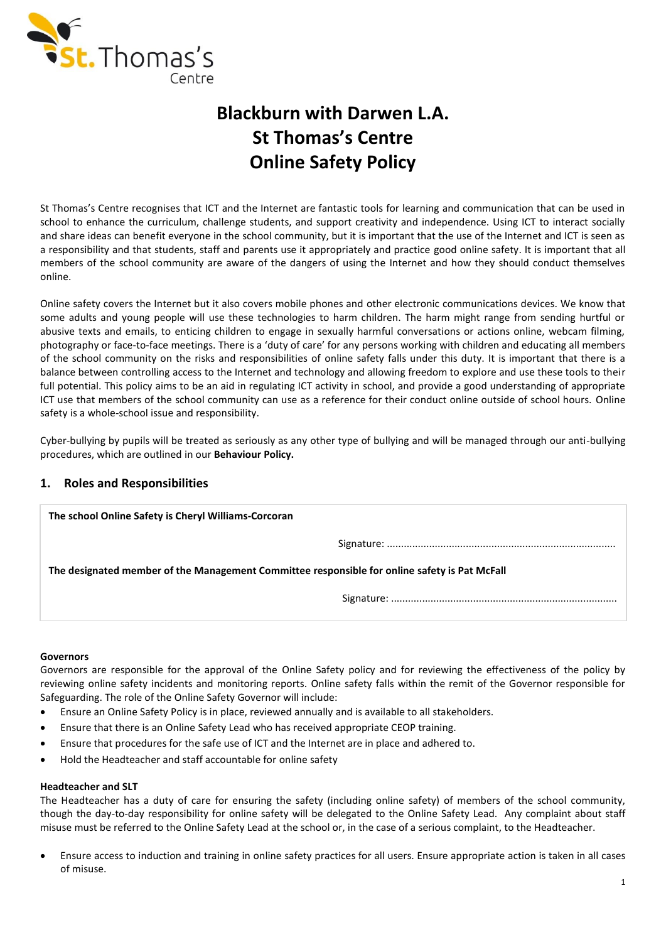

# **Blackburn with Darwen L.A. St Thomas's Centre Online Safety Policy**

St Thomas's Centre recognises that ICT and the Internet are fantastic tools for learning and communication that can be used in school to enhance the curriculum, challenge students, and support creativity and independence. Using ICT to interact socially and share ideas can benefit everyone in the school community, but it is important that the use of the Internet and ICT is seen as a responsibility and that students, staff and parents use it appropriately and practice good online safety. It is important that all members of the school community are aware of the dangers of using the Internet and how they should conduct themselves online.

Online safety covers the Internet but it also covers mobile phones and other electronic communications devices. We know that some adults and young people will use these technologies to harm children. The harm might range from sending hurtful or abusive texts and emails, to enticing children to engage in sexually harmful conversations or actions online, webcam filming, photography or face-to-face meetings. There is a 'duty of care' for any persons working with children and educating all members of the school community on the risks and responsibilities of online safety falls under this duty. It is important that there is a balance between controlling access to the Internet and technology and allowing freedom to explore and use these tools to their full potential. This policy aims to be an aid in regulating ICT activity in school, and provide a good understanding of appropriate ICT use that members of the school community can use as a reference for their conduct online outside of school hours. Online safety is a whole-school issue and responsibility.

Cyber-bullying by pupils will be treated as seriously as any other type of bullying and will be managed through our anti-bullying procedures, which are outlined in our **Behaviour Policy.**

## **1. Roles and Responsibilities**

| The school Online Safety is Cheryl Williams-Corcoran                                          |  |  |  |
|-----------------------------------------------------------------------------------------------|--|--|--|
|                                                                                               |  |  |  |
| The designated member of the Management Committee responsible for online safety is Pat McFall |  |  |  |
|                                                                                               |  |  |  |

#### **Governors**

Governors are responsible for the approval of the Online Safety policy and for reviewing the effectiveness of the policy by reviewing online safety incidents and monitoring reports. Online safety falls within the remit of the Governor responsible for Safeguarding. The role of the Online Safety Governor will include:

- Ensure an Online Safety Policy is in place, reviewed annually and is available to all stakeholders.
- Ensure that there is an Online Safety Lead who has received appropriate CEOP training.
- Ensure that procedures for the safe use of ICT and the Internet are in place and adhered to.
- Hold the Headteacher and staff accountable for online safety

#### **Headteacher and SLT**

The Headteacher has a duty of care for ensuring the safety (including online safety) of members of the school community, though the day-to-day responsibility for online safety will be delegated to the Online Safety Lead. Any complaint about staff misuse must be referred to the Online Safety Lead at the school or, in the case of a serious complaint, to the Headteacher.

 Ensure access to induction and training in online safety practices for all users. Ensure appropriate action is taken in all cases of misuse.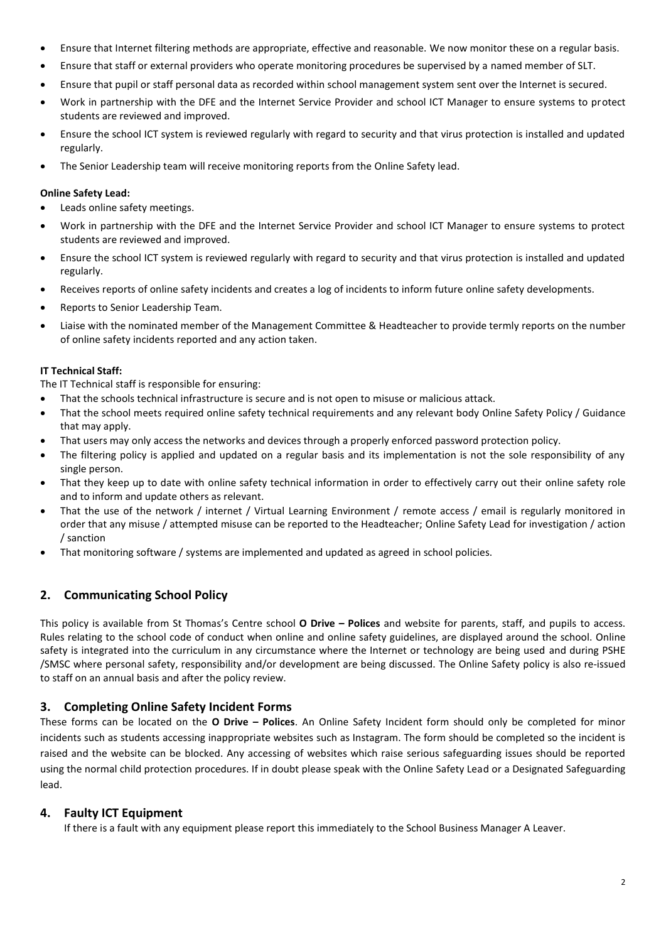- Ensure that Internet filtering methods are appropriate, effective and reasonable. We now monitor these on a regular basis.
- Ensure that staff or external providers who operate monitoring procedures be supervised by a named member of SLT.
- Ensure that pupil or staff personal data as recorded within school management system sent over the Internet is secured.
- Work in partnership with the DFE and the Internet Service Provider and school ICT Manager to ensure systems to protect students are reviewed and improved.
- Ensure the school ICT system is reviewed regularly with regard to security and that virus protection is installed and updated regularly.
- The Senior Leadership team will receive monitoring reports from the Online Safety lead.

### **Online Safety Lead:**

- Leads online safety meetings.
- Work in partnership with the DFE and the Internet Service Provider and school ICT Manager to ensure systems to protect students are reviewed and improved.
- Ensure the school ICT system is reviewed regularly with regard to security and that virus protection is installed and updated regularly.
- Receives reports of online safety incidents and creates a log of incidents to inform future online safety developments.
- Reports to Senior Leadership Team.
- Liaise with the nominated member of the Management Committee & Headteacher to provide termly reports on the number of online safety incidents reported and any action taken.

#### **IT Technical Staff:**

The IT Technical staff is responsible for ensuring:

- That the schools technical infrastructure is secure and is not open to misuse or malicious attack.
- That the school meets required online safety technical requirements and any relevant body Online Safety Policy / Guidance that may apply.
- That users may only access the networks and devices through a properly enforced password protection policy.
- The filtering policy is applied and updated on a regular basis and its implementation is not the sole responsibility of any single person.
- That they keep up to date with online safety technical information in order to effectively carry out their online safety role and to inform and update others as relevant.
- That the use of the network / internet / Virtual Learning Environment / remote access / email is regularly monitored in order that any misuse / attempted misuse can be reported to the Headteacher; Online Safety Lead for investigation / action / sanction
- That monitoring software / systems are implemented and updated as agreed in school policies.

## **2. Communicating School Policy**

This policy is available from St Thomas's Centre school **O Drive – Polices** and website for parents, staff, and pupils to access. Rules relating to the school code of conduct when online and online safety guidelines, are displayed around the school. Online safety is integrated into the curriculum in any circumstance where the Internet or technology are being used and during PSHE /SMSC where personal safety, responsibility and/or development are being discussed. The Online Safety policy is also re-issued to staff on an annual basis and after the policy review.

## **3. Completing Online Safety Incident Forms**

These forms can be located on the **O Drive – Polices**. An Online Safety Incident form should only be completed for minor incidents such as students accessing inappropriate websites such as Instagram. The form should be completed so the incident is raised and the website can be blocked. Any accessing of websites which raise serious safeguarding issues should be reported using the normal child protection procedures. If in doubt please speak with the Online Safety Lead or a Designated Safeguarding lead.

## **4. Faulty ICT Equipment**

If there is a fault with any equipment please report this immediately to the School Business Manager A Leaver.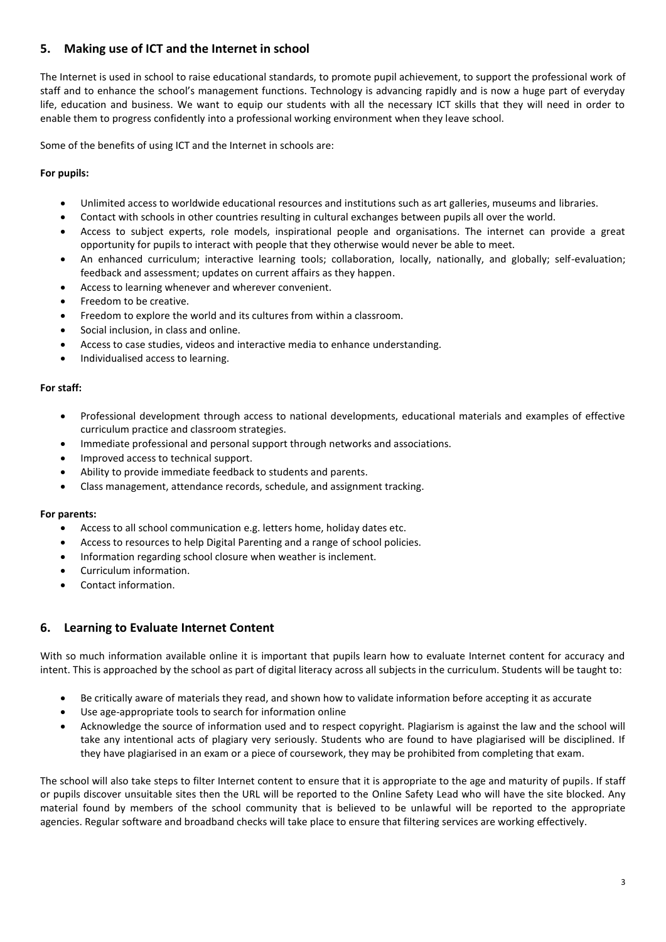## **5. Making use of ICT and the Internet in school**

The Internet is used in school to raise educational standards, to promote pupil achievement, to support the professional work of staff and to enhance the school's management functions. Technology is advancing rapidly and is now a huge part of everyday life, education and business. We want to equip our students with all the necessary ICT skills that they will need in order to enable them to progress confidently into a professional working environment when they leave school.

Some of the benefits of using ICT and the Internet in schools are:

### **For pupils:**

- Unlimited access to worldwide educational resources and institutions such as art galleries, museums and libraries.
- Contact with schools in other countries resulting in cultural exchanges between pupils all over the world.
- Access to subject experts, role models, inspirational people and organisations. The internet can provide a great opportunity for pupils to interact with people that they otherwise would never be able to meet.
- An enhanced curriculum; interactive learning tools; collaboration, locally, nationally, and globally; self-evaluation; feedback and assessment; updates on current affairs as they happen.
- Access to learning whenever and wherever convenient.
- Freedom to be creative.
- Freedom to explore the world and its cultures from within a classroom.
- Social inclusion, in class and online.
- Access to case studies, videos and interactive media to enhance understanding.
- Individualised access to learning.

#### **For staff:**

- Professional development through access to national developments, educational materials and examples of effective curriculum practice and classroom strategies.
- Immediate professional and personal support through networks and associations.
- Improved access to technical support.
- Ability to provide immediate feedback to students and parents.
- Class management, attendance records, schedule, and assignment tracking.

#### **For parents:**

- Access to all school communication e.g. letters home, holiday dates etc.
- Access to resources to help Digital Parenting and a range of school policies.
- Information regarding school closure when weather is inclement.
- Curriculum information.
- Contact information.

## **6. Learning to Evaluate Internet Content**

With so much information available online it is important that pupils learn how to evaluate Internet content for accuracy and intent. This is approached by the school as part of digital literacy across all subjects in the curriculum. Students will be taught to:

- Be critically aware of materials they read, and shown how to validate information before accepting it as accurate
- Use age-appropriate tools to search for information online
- Acknowledge the source of information used and to respect copyright. Plagiarism is against the law and the school will take any intentional acts of plagiary very seriously. Students who are found to have plagiarised will be disciplined. If they have plagiarised in an exam or a piece of coursework, they may be prohibited from completing that exam.

The school will also take steps to filter Internet content to ensure that it is appropriate to the age and maturity of pupils. If staff or pupils discover unsuitable sites then the URL will be reported to the Online Safety Lead who will have the site blocked. Any material found by members of the school community that is believed to be unlawful will be reported to the appropriate agencies. Regular software and broadband checks will take place to ensure that filtering services are working effectively.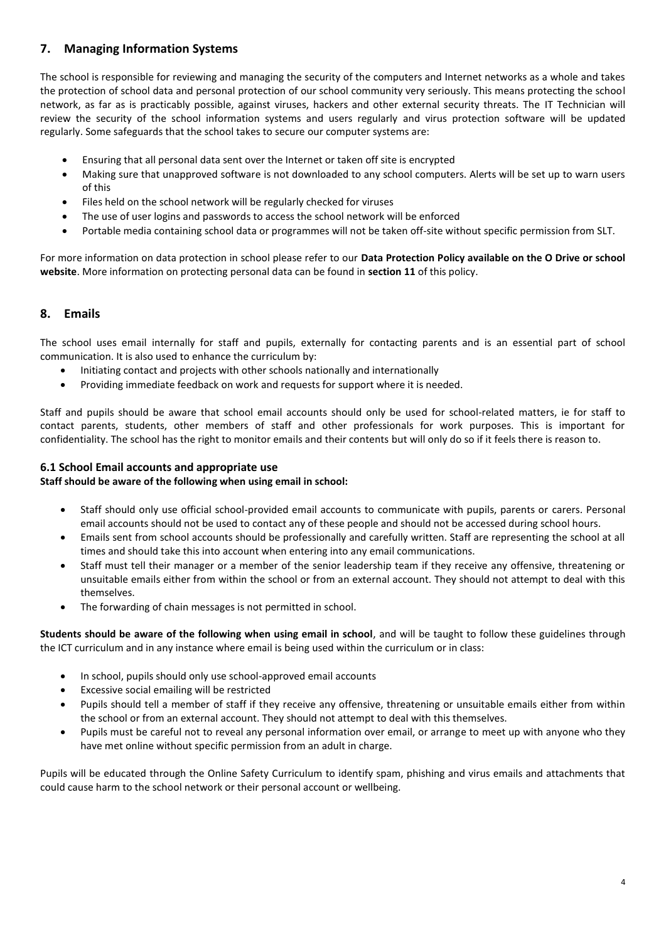## **7. Managing Information Systems**

The school is responsible for reviewing and managing the security of the computers and Internet networks as a whole and takes the protection of school data and personal protection of our school community very seriously. This means protecting the school network, as far as is practicably possible, against viruses, hackers and other external security threats. The IT Technician will review the security of the school information systems and users regularly and virus protection software will be updated regularly. Some safeguards that the school takes to secure our computer systems are:

- Ensuring that all personal data sent over the Internet or taken off site is encrypted
- Making sure that unapproved software is not downloaded to any school computers. Alerts will be set up to warn users of this
- Files held on the school network will be regularly checked for viruses
- The use of user logins and passwords to access the school network will be enforced
- Portable media containing school data or programmes will not be taken off-site without specific permission from SLT.

For more information on data protection in school please refer to our **Data Protection Policy available on the O Drive or school website**. More information on protecting personal data can be found in **section 11** of this policy.

## **8. Emails**

The school uses email internally for staff and pupils, externally for contacting parents and is an essential part of school communication. It is also used to enhance the curriculum by:

- Initiating contact and projects with other schools nationally and internationally
- Providing immediate feedback on work and requests for support where it is needed.

Staff and pupils should be aware that school email accounts should only be used for school-related matters, ie for staff to contact parents, students, other members of staff and other professionals for work purposes. This is important for confidentiality. The school has the right to monitor emails and their contents but will only do so if it feels there is reason to.

### **6.1 School Email accounts and appropriate use**

#### **Staff should be aware of the following when using email in school:**

- Staff should only use official school-provided email accounts to communicate with pupils, parents or carers. Personal email accounts should not be used to contact any of these people and should not be accessed during school hours.
- Emails sent from school accounts should be professionally and carefully written. Staff are representing the school at all times and should take this into account when entering into any email communications.
- Staff must tell their manager or a member of the senior leadership team if they receive any offensive, threatening or unsuitable emails either from within the school or from an external account. They should not attempt to deal with this themselves.
- The forwarding of chain messages is not permitted in school.

**Students should be aware of the following when using email in school**, and will be taught to follow these guidelines through the ICT curriculum and in any instance where email is being used within the curriculum or in class:

- In school, pupils should only use school-approved email accounts
- Excessive social emailing will be restricted
- Pupils should tell a member of staff if they receive any offensive, threatening or unsuitable emails either from within the school or from an external account. They should not attempt to deal with this themselves.
- Pupils must be careful not to reveal any personal information over email, or arrange to meet up with anyone who they have met online without specific permission from an adult in charge.

Pupils will be educated through the Online Safety Curriculum to identify spam, phishing and virus emails and attachments that could cause harm to the school network or their personal account or wellbeing.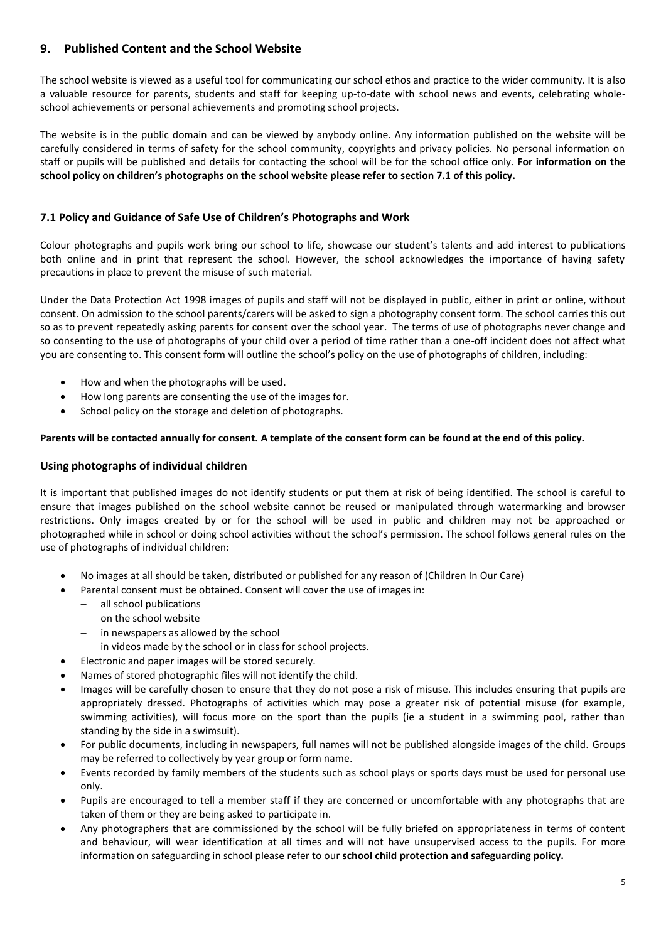## **9. Published Content and the School Website**

The school website is viewed as a useful tool for communicating our school ethos and practice to the wider community. It is also a valuable resource for parents, students and staff for keeping up-to-date with school news and events, celebrating wholeschool achievements or personal achievements and promoting school projects.

The website is in the public domain and can be viewed by anybody online. Any information published on the website will be carefully considered in terms of safety for the school community, copyrights and privacy policies. No personal information on staff or pupils will be published and details for contacting the school will be for the school office only. **For information on the school policy on children's photographs on the school website please refer to section 7.1 of this policy.**

## **7.1 Policy and Guidance of Safe Use of Children's Photographs and Work**

Colour photographs and pupils work bring our school to life, showcase our student's talents and add interest to publications both online and in print that represent the school. However, the school acknowledges the importance of having safety precautions in place to prevent the misuse of such material.

Under the Data Protection Act 1998 images of pupils and staff will not be displayed in public, either in print or online, without consent. On admission to the school parents/carers will be asked to sign a photography consent form. The school carries this out so as to prevent repeatedly asking parents for consent over the school year. The terms of use of photographs never change and so consenting to the use of photographs of your child over a period of time rather than a one-off incident does not affect what you are consenting to. This consent form will outline the school's policy on the use of photographs of children, including:

- How and when the photographs will be used.
- How long parents are consenting the use of the images for.
- School policy on the storage and deletion of photographs.

#### **Parents will be contacted annually for consent. A template of the consent form can be found at the end of this policy.**

## **Using photographs of individual children**

It is important that published images do not identify students or put them at risk of being identified. The school is careful to ensure that images published on the school website cannot be reused or manipulated through watermarking and browser restrictions. Only images created by or for the school will be used in public and children may not be approached or photographed while in school or doing school activities without the school's permission. The school follows general rules on the use of photographs of individual children:

- No images at all should be taken, distributed or published for any reason of (Children In Our Care)
- Parental consent must be obtained. Consent will cover the use of images in:
	- all school publications
	- on the school website
	- $-$  in newspapers as allowed by the school
	- in videos made by the school or in class for school projects.
- Electronic and paper images will be stored securely.
- Names of stored photographic files will not identify the child.
- Images will be carefully chosen to ensure that they do not pose a risk of misuse. This includes ensuring that pupils are appropriately dressed. Photographs of activities which may pose a greater risk of potential misuse (for example, swimming activities), will focus more on the sport than the pupils (ie a student in a swimming pool, rather than standing by the side in a swimsuit).
- For public documents, including in newspapers, full names will not be published alongside images of the child. Groups may be referred to collectively by year group or form name.
- Events recorded by family members of the students such as school plays or sports days must be used for personal use only.
- Pupils are encouraged to tell a member staff if they are concerned or uncomfortable with any photographs that are taken of them or they are being asked to participate in.
- Any photographers that are commissioned by the school will be fully briefed on appropriateness in terms of content and behaviour, will wear identification at all times and will not have unsupervised access to the pupils. For more information on safeguarding in school please refer to our **school child protection and safeguarding policy.**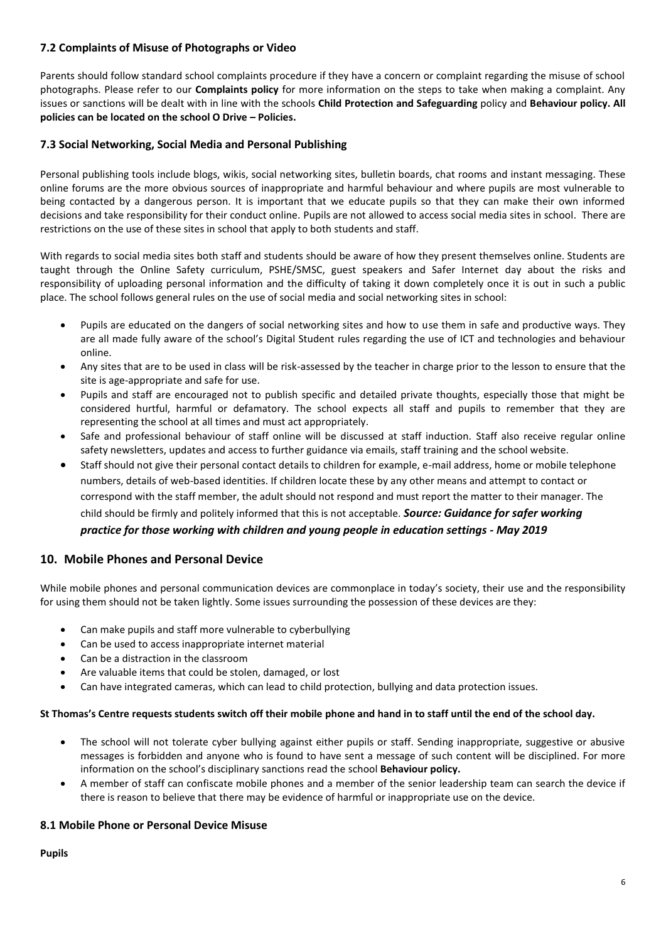## **7.2 Complaints of Misuse of Photographs or Video**

Parents should follow standard school complaints procedure if they have a concern or complaint regarding the misuse of school photographs. Please refer to our **Complaints policy** for more information on the steps to take when making a complaint. Any issues or sanctions will be dealt with in line with the schools **Child Protection and Safeguarding** policy and **Behaviour policy. All policies can be located on the school O Drive – Policies.**

## **7.3 Social Networking, Social Media and Personal Publishing**

Personal publishing tools include blogs, wikis, social networking sites, bulletin boards, chat rooms and instant messaging. These online forums are the more obvious sources of inappropriate and harmful behaviour and where pupils are most vulnerable to being contacted by a dangerous person. It is important that we educate pupils so that they can make their own informed decisions and take responsibility for their conduct online. Pupils are not allowed to access social media sites in school. There are restrictions on the use of these sites in school that apply to both students and staff.

With regards to social media sites both staff and students should be aware of how they present themselves online. Students are taught through the Online Safety curriculum, PSHE/SMSC, guest speakers and Safer Internet day about the risks and responsibility of uploading personal information and the difficulty of taking it down completely once it is out in such a public place. The school follows general rules on the use of social media and social networking sites in school:

- Pupils are educated on the dangers of social networking sites and how to use them in safe and productive ways. They are all made fully aware of the school's Digital Student rules regarding the use of ICT and technologies and behaviour online.
- Any sites that are to be used in class will be risk-assessed by the teacher in charge prior to the lesson to ensure that the site is age-appropriate and safe for use.
- Pupils and staff are encouraged not to publish specific and detailed private thoughts, especially those that might be considered hurtful, harmful or defamatory. The school expects all staff and pupils to remember that they are representing the school at all times and must act appropriately.
- Safe and professional behaviour of staff online will be discussed at staff induction. Staff also receive regular online safety newsletters, updates and access to further guidance via emails, staff training and the school website.
- Staff should not give their personal contact details to children for example, e-mail address, home or mobile telephone numbers, details of web-based identities. If children locate these by any other means and attempt to contact or correspond with the staff member, the adult should not respond and must report the matter to their manager. The child should be firmly and politely informed that this is not acceptable. *Source: Guidance for safer working practice for those working with children and young people in education settings - May 2019*

## **10. Mobile Phones and Personal Device**

While mobile phones and personal communication devices are commonplace in today's society, their use and the responsibility for using them should not be taken lightly. Some issues surrounding the possession of these devices are they:

- Can make pupils and staff more vulnerable to cyberbullying
- Can be used to access inappropriate internet material
- Can be a distraction in the classroom
- Are valuable items that could be stolen, damaged, or lost
- Can have integrated cameras, which can lead to child protection, bullying and data protection issues.

#### **St Thomas's Centre requests students switch off their mobile phone and hand in to staff until the end of the school day.**

- The school will not tolerate cyber bullying against either pupils or staff. Sending inappropriate, suggestive or abusive messages is forbidden and anyone who is found to have sent a message of such content will be disciplined. For more information on the school's disciplinary sanctions read the school **Behaviour policy.**
- A member of staff can confiscate mobile phones and a member of the senior leadership team can search the device if there is reason to believe that there may be evidence of harmful or inappropriate use on the device.

#### **8.1 Mobile Phone or Personal Device Misuse**

**Pupils**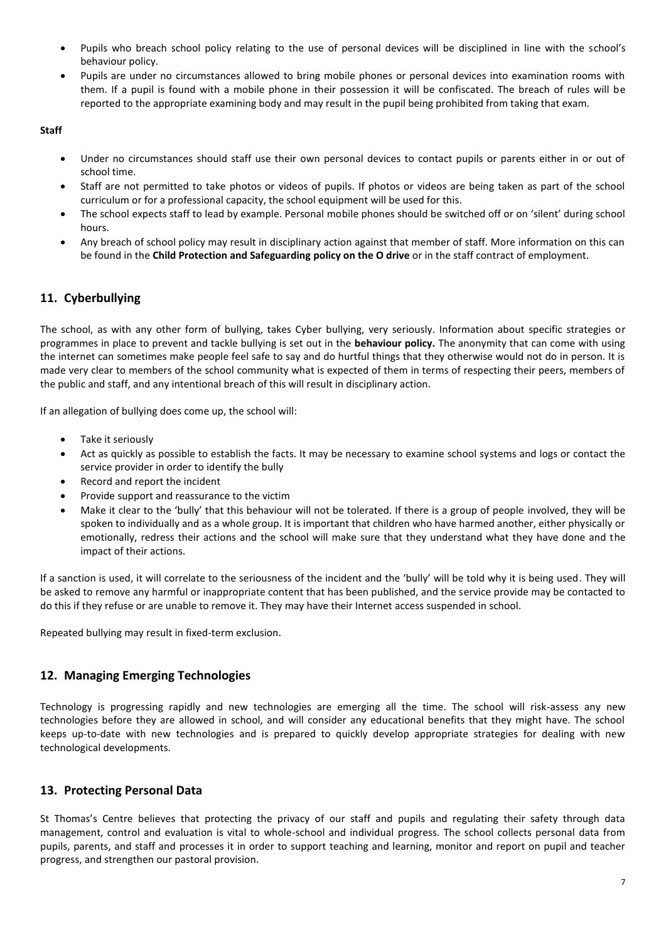- Pupils who breach school policy relating to the use of personal devices will be disciplined in line with the school's behaviour policy.
- Pupils are under no circumstances allowed to bring mobile phones or personal devices into examination rooms with them. If a pupil is found with a mobile phone in their possession it will be confiscated. The breach of rules will be reported to the appropriate examining body and may result in the pupil being prohibited from taking that exam.

#### **Staff**

- Under no circumstances should staff use their own personal devices to contact pupils or parents either in or out of school time.
- Staff are not permitted to take photos or videos of pupils. If photos or videos are being taken as part of the school curriculum or for a professional capacity, the school equipment will be used for this.
- The school expects staff to lead by example. Personal mobile phones should be switched off or on 'silent' during school hours.
- Any breach of school policy may result in disciplinary action against that member of staff. More information on this can be found in the **Child Protection and Safeguarding policy on the O drive** or in the staff contract of employment.

## **11. Cyberbullying**

The school, as with any other form of bullying, takes Cyber bullying, very seriously. Information about specific strategies or programmes in place to prevent and tackle bullying is set out in the **behaviour policy.** The anonymity that can come with using the internet can sometimes make people feel safe to say and do hurtful things that they otherwise would not do in person. It is made very clear to members of the school community what is expected of them in terms of respecting their peers, members of the public and staff, and any intentional breach of this will result in disciplinary action.

If an allegation of bullying does come up, the school will:

- Take it seriously
- Act as quickly as possible to establish the facts. It may be necessary to examine school systems and logs or contact the service provider in order to identify the bully
- Record and report the incident
- Provide support and reassurance to the victim
- Make it clear to the 'bully' that this behaviour will not be tolerated. If there is a group of people involved, they will be spoken to individually and as a whole group. It is important that children who have harmed another, either physically or emotionally, redress their actions and the school will make sure that they understand what they have done and the impact of their actions.

If a sanction is used, it will correlate to the seriousness of the incident and the 'bully' will be told why it is being used. They will be asked to remove any harmful or inappropriate content that has been published, and the service provide may be contacted to do this if they refuse or are unable to remove it. They may have their Internet access suspended in school.

Repeated bullying may result in fixed-term exclusion.

## **12. Managing Emerging Technologies**

Technology is progressing rapidly and new technologies are emerging all the time. The school will risk-assess any new technologies before they are allowed in school, and will consider any educational benefits that they might have. The school keeps up-to-date with new technologies and is prepared to quickly develop appropriate strategies for dealing with new technological developments.

## **13. Protecting Personal Data**

St Thomas's Centre believes that protecting the privacy of our staff and pupils and regulating their safety through data management, control and evaluation is vital to whole-school and individual progress. The school collects personal data from pupils, parents, and staff and processes it in order to support teaching and learning, monitor and report on pupil and teacher progress, and strengthen our pastoral provision.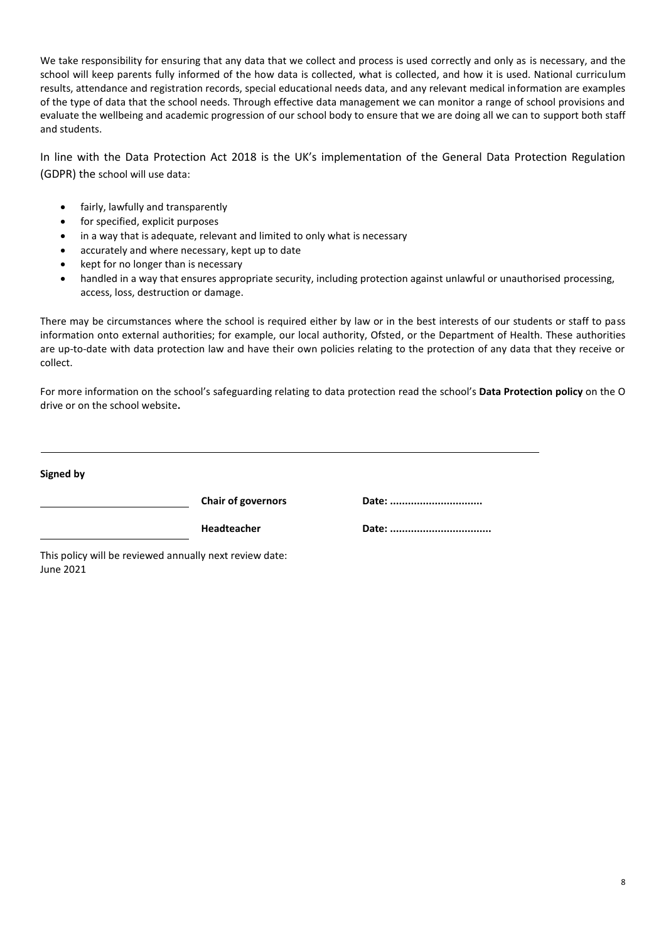We take responsibility for ensuring that any data that we collect and process is used correctly and only as is necessary, and the school will keep parents fully informed of the how data is collected, what is collected, and how it is used. National curriculum results, attendance and registration records, special educational needs data, and any relevant medical information are examples of the type of data that the school needs. Through effective data management we can monitor a range of school provisions and evaluate the wellbeing and academic progression of our school body to ensure that we are doing all we can to support both staff and students.

In line with the Data Protection Act 2018 is the UK's implementation of the General Data Protection Regulation (GDPR) the school will use data:

- fairly, lawfully and transparently
- for specified, explicit purposes
- in a way that is adequate, relevant and limited to only what is necessary
- accurately and where necessary, kept up to date
- kept for no longer than is necessary
- handled in a way that ensures appropriate security, including protection against unlawful or unauthorised processing, access, loss, destruction or damage.

There may be circumstances where the school is required either by law or in the best interests of our students or staff to pass information onto external authorities; for example, our local authority, Ofsted, or the Department of Health. These authorities are up-to-date with data protection law and have their own policies relating to the protection of any data that they receive or collect.

For more information on the school's safeguarding relating to data protection read the school's **Data Protection policy** on the O drive or on the school website**.**

| <b>Chair of governors</b> | Date: |
|---------------------------|-------|
| <b>Headteacher</b>        | Date: |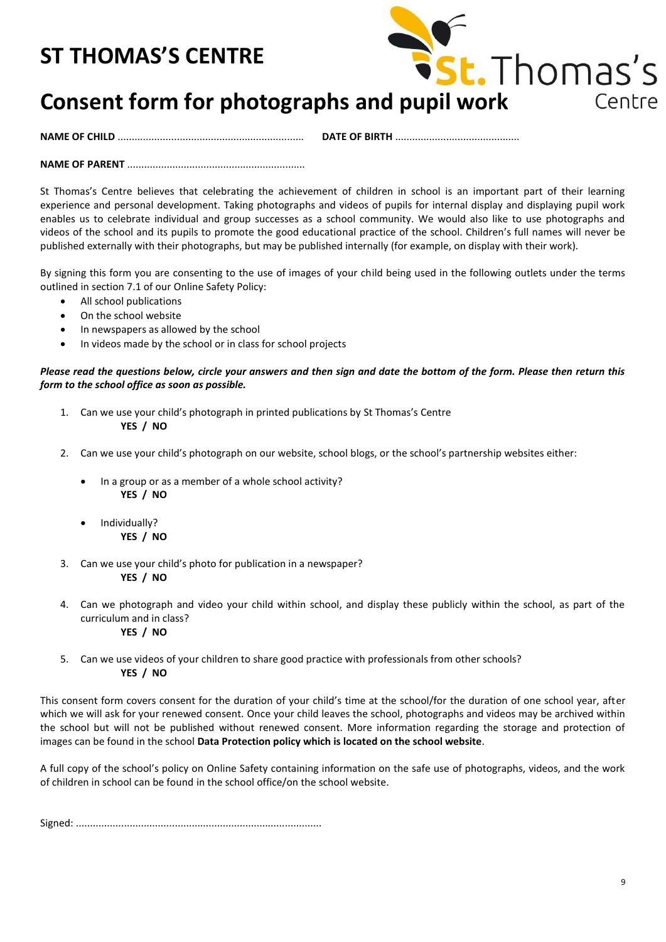# **ST THOMAS'S CENTRE**



# **Consent form for photographs and pupil work**

**NAME OF CHILD** .................................................................. **DATE OF BIRTH** ............................................

**NAME OF PARENT** ...............................................................

St Thomas's Centre believes that celebrating the achievement of children in school is an important part of their learning experience and personal development. Taking photographs and videos of pupils for internal display and displaying pupil work enables us to celebrate individual and group successes as a school community. We would also like to use photographs and videos of the school and its pupils to promote the good educational practice of the school. Children's full names will never be published externally with their photographs, but may be published internally (for example, on display with their work).

By signing this form you are consenting to the use of images of your child being used in the following outlets under the terms outlined in section 7.1 of our Online Safety Policy:

- All school publications
- On the school website
- In newspapers as allowed by the school
- In videos made by the school or in class for school projects

*Please read the questions below, circle your answers and then sign and date the bottom of the form. Please then return this form to the school office as soon as possible.*

- 1. Can we use your child's photograph in printed publications by St Thomas's Centre **YES / NO**
- 2. Can we use your child's photograph on our website, school blogs, or the school's partnership websites either:
	- In a group or as a member of a whole school activity? **YES / NO**
	- Individually? **YES / NO**
- 3. Can we use your child's photo for publication in a newspaper? **YES / NO**
- 4. Can we photograph and video your child within school, and display these publicly within the school, as part of the curriculum and in class? **YES / NO**
- 5. Can we use videos of your children to share good practice with professionals from other schools? **YES / NO**

This consent form covers consent for the duration of your child's time at the school/for the duration of one school year, after which we will ask for your renewed consent. Once your child leaves the school, photographs and videos may be archived within the school but will not be published without renewed consent. More information regarding the storage and protection of images can be found in the school **Data Protection policy which is located on the school website**.

A full copy of the school's policy on Online Safety containing information on the safe use of photographs, videos, and the work of children in school can be found in the school office/on the school website.

Signed: .......................................................................................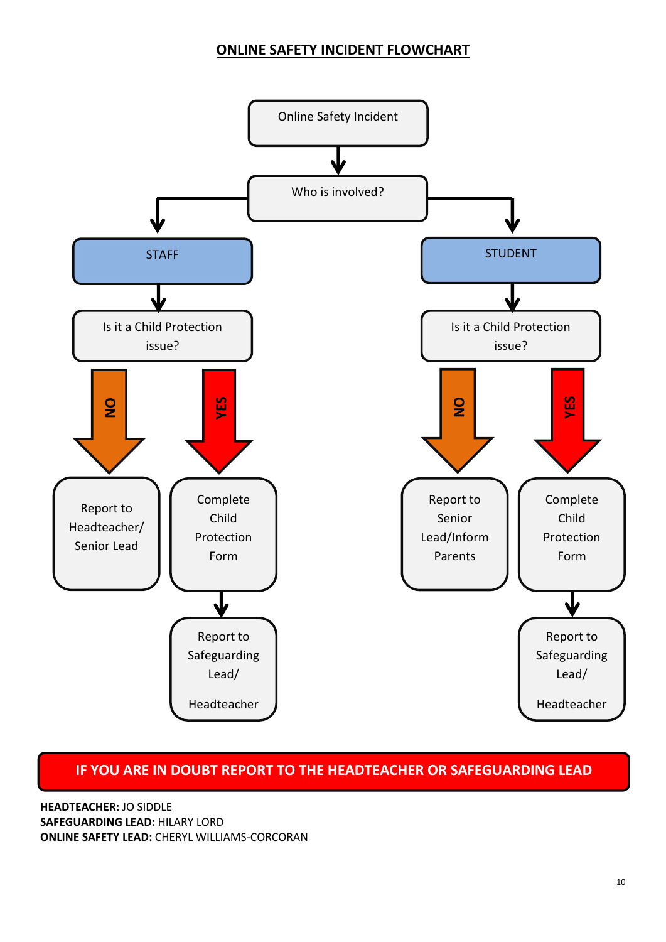## **ONLINE SAFETY INCIDENT FLOWCHART**



## **IF YOU ARE IN DOUBT REPORT TO THE HEADTEACHER OR SAFEGUARDING LEAD**

**HEADTEACHER:** JO SIDDLE **SAFEGUARDING LEAD:** HILARY LORD **ONLINE SAFETY LEAD:** CHERYL WILLIAMS-CORCORAN